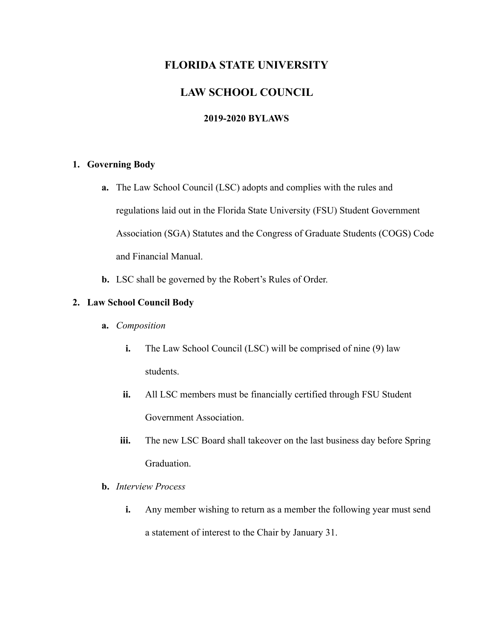# **FLORIDA STATE UNIVERSITY**

# **LAW SCHOOL COUNCIL**

# **2019-2020 BYLAWS**

## **1. Governing Body**

- **a.** The Law School Council (LSC) adopts and complies with the rules and regulations laid out in the Florida State University (FSU) Student Government Association (SGA) Statutes and the Congress of Graduate Students (COGS) Code and Financial Manual.
- **b.** LSC shall be governed by the Robert's Rules of Order.

## **2. Law School Council Body**

- **a.** *Composition* 
	- **i.** The Law School Council (LSC) will be comprised of nine (9) law students.
	- **ii.** All LSC members must be financially certified through FSU Student Government Association.
	- **iii.** The new LSC Board shall takeover on the last business day before Spring Graduation.
- **b.** *Interview Process* 
	- **i.** Any member wishing to return as a member the following year must send a statement of interest to the Chair by January 31.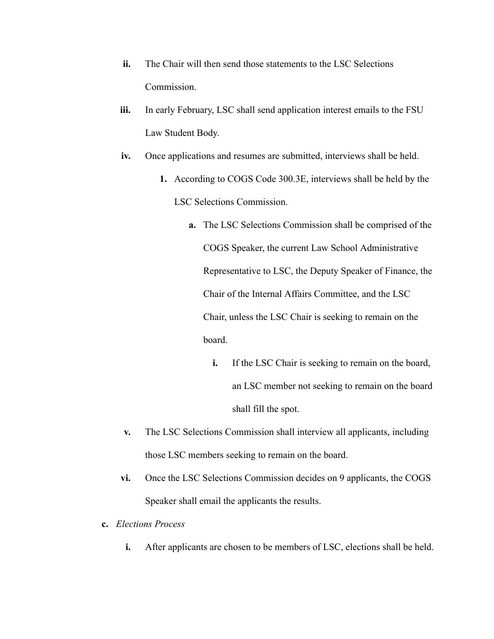- **ii.** The Chair will then send those statements to the LSC Selections Commission.
- **iii.** In early February, LSC shall send application interest emails to the FSU Law Student Body.
- **iv.** Once applications and resumes are submitted, interviews shall be held.
	- **1.** According to COGS Code 300.3E, interviews shall be held by the LSC Selections Commission.
		- **a.** The LSC Selections Commission shall be comprised of the COGS Speaker, the current Law School Administrative Representative to LSC, the Deputy Speaker of Finance, the Chair of the Internal Affairs Committee, and the LSC Chair, unless the LSC Chair is seeking to remain on the board.
			- **i.** If the LSC Chair is seeking to remain on the board, an LSC member not seeking to remain on the board shall fill the spot.
- **v.** The LSC Selections Commission shall interview all applicants, including those LSC members seeking to remain on the board.
- **vi.** Once the LSC Selections Commission decides on 9 applicants, the COGS Speaker shall email the applicants the results.
- **c.** *Elections Process* 
	- **i.** After applicants are chosen to be members of LSC, elections shall be held.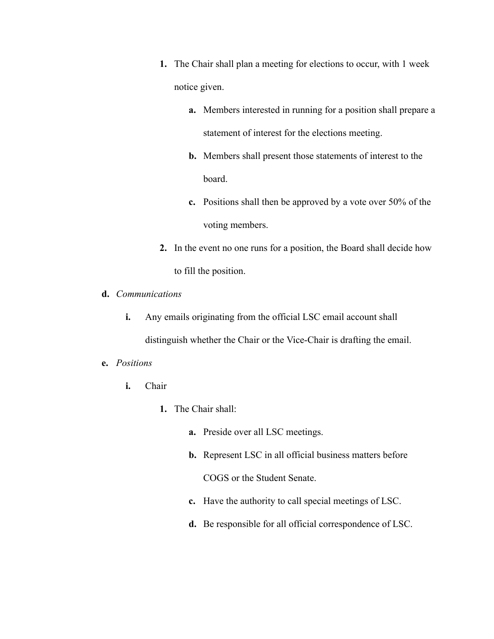- **1.** The Chair shall plan a meeting for elections to occur, with 1 week notice given.
	- **a.** Members interested in running for a position shall prepare a statement of interest for the elections meeting.
	- **b.** Members shall present those statements of interest to the board.
	- **c.** Positions shall then be approved by a vote over 50% of the voting members.
- **2.** In the event no one runs for a position, the Board shall decide how to fill the position.
- **d.** *Communications* 
	- **i.** Any emails originating from the official LSC email account shall distinguish whether the Chair or the Vice-Chair is drafting the email.
- **e.** *Positions* 
	- **i.** Chair
		- **1.** The Chair shall:
			- **a.** Preside over all LSC meetings.
			- **b.** Represent LSC in all official business matters before COGS or the Student Senate.
			- **c.** Have the authority to call special meetings of LSC.
			- **d.** Be responsible for all official correspondence of LSC.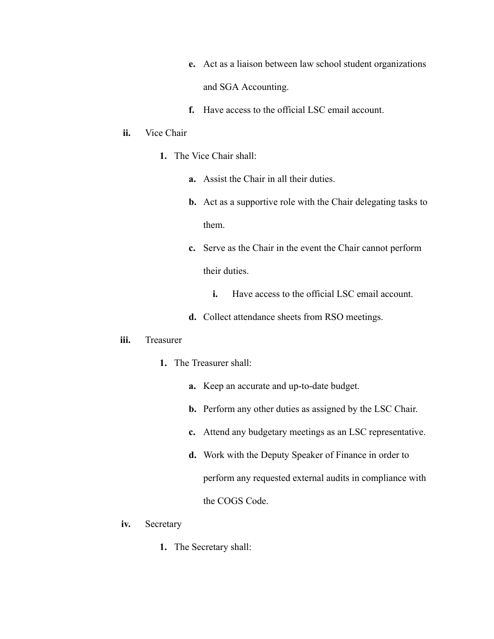- **e.** Act as a liaison between law school student organizations and SGA Accounting.
- **f.** Have access to the official LSC email account.

#### **ii.** Vice Chair

- **1.** The Vice Chair shall:
	- **a.** Assist the Chair in all their duties.
	- **b.** Act as a supportive role with the Chair delegating tasks to them.
	- **c.** Serve as the Chair in the event the Chair cannot perform their duties.
		- **i.** Have access to the official LSC email account.
	- **d.** Collect attendance sheets from RSO meetings.

#### **iii.** Treasurer

- **1.** The Treasurer shall:
	- **a.** Keep an accurate and up-to-date budget.
	- **b.** Perform any other duties as assigned by the LSC Chair.
	- **c.** Attend any budgetary meetings as an LSC representative.
	- **d.** Work with the Deputy Speaker of Finance in order to perform any requested external audits in compliance with the COGS Code.
- **iv.** Secretary
	- **1.** The Secretary shall: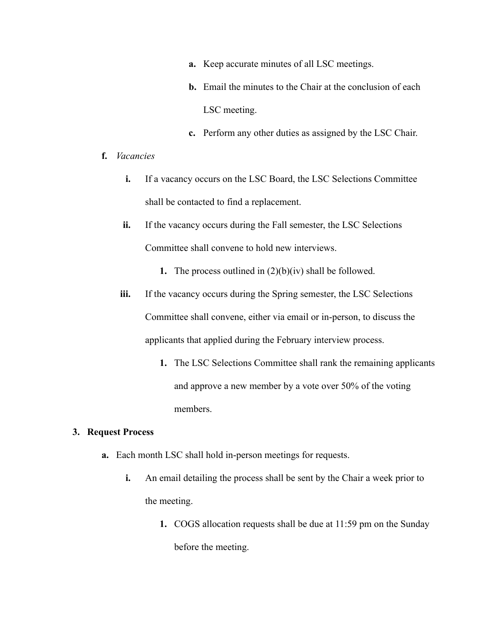- **a.** Keep accurate minutes of all LSC meetings.
- **b.** Email the minutes to the Chair at the conclusion of each LSC meeting.
- **c.** Perform any other duties as assigned by the LSC Chair.
- **f.** *Vacancies* 
	- **i.** If a vacancy occurs on the LSC Board, the LSC Selections Committee shall be contacted to find a replacement.
	- **ii.** If the vacancy occurs during the Fall semester, the LSC Selections Committee shall convene to hold new interviews.
		- **1.** The process outlined in (2)(b)(iv) shall be followed.
	- **iii.** If the vacancy occurs during the Spring semester, the LSC Selections Committee shall convene, either via email or in-person, to discuss the applicants that applied during the February interview process.
		- **1.** The LSC Selections Committee shall rank the remaining applicants and approve a new member by a vote over 50% of the voting members.

### **3. Request Process**

- **a.** Each month LSC shall hold in-person meetings for requests.
	- **i.** An email detailing the process shall be sent by the Chair a week prior to the meeting.
		- **1.** COGS allocation requests shall be due at 11:59 pm on the Sunday before the meeting.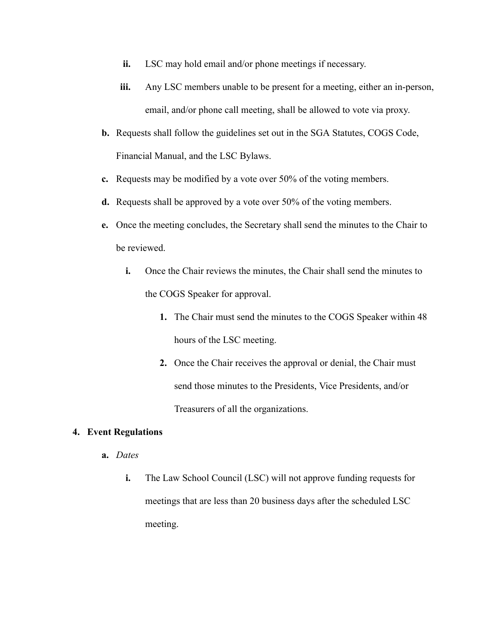- **ii.** LSC may hold email and/or phone meetings if necessary.
- **iii.** Any LSC members unable to be present for a meeting, either an in-person, email, and/or phone call meeting, shall be allowed to vote via proxy.
- **b.** Requests shall follow the guidelines set out in the SGA Statutes, COGS Code, Financial Manual, and the LSC Bylaws.
- **c.** Requests may be modified by a vote over 50% of the voting members.
- **d.** Requests shall be approved by a vote over 50% of the voting members.
- **e.** Once the meeting concludes, the Secretary shall send the minutes to the Chair to be reviewed.
	- **i.** Once the Chair reviews the minutes, the Chair shall send the minutes to the COGS Speaker for approval.
		- **1.** The Chair must send the minutes to the COGS Speaker within 48 hours of the LSC meeting.
		- **2.** Once the Chair receives the approval or denial, the Chair must send those minutes to the Presidents, Vice Presidents, and/or Treasurers of all the organizations.

### **4. Event Regulations**

- **a.** *Dates* 
	- **i.** The Law School Council (LSC) will not approve funding requests for meetings that are less than 20 business days after the scheduled LSC meeting.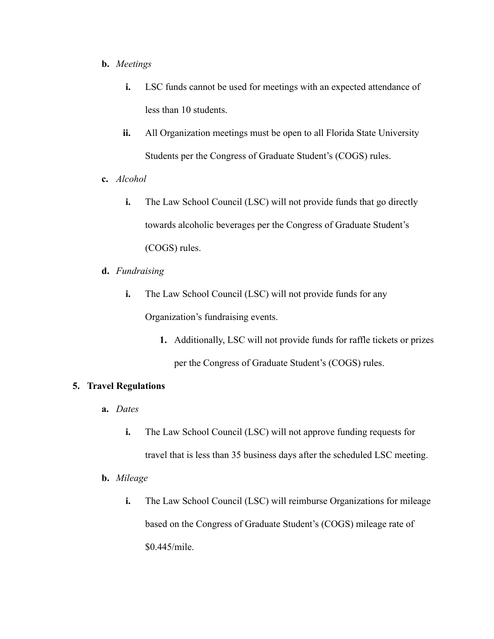#### **b.** *Meetings*

- **i.** LSC funds cannot be used for meetings with an expected attendance of less than 10 students.
- **ii.** All Organization meetings must be open to all Florida State University Students per the Congress of Graduate Student's (COGS) rules.
- **c.** *Alcohol* 
	- **i.** The Law School Council (LSC) will not provide funds that go directly towards alcoholic beverages per the Congress of Graduate Student's (COGS) rules.
- **d.** *Fundraising* 
	- **i.** The Law School Council (LSC) will not provide funds for any Organization's fundraising events.
		- **1.** Additionally, LSC will not provide funds for raffle tickets or prizes per the Congress of Graduate Student's (COGS) rules.

## **5. Travel Regulations**

- **a.** *Dates* 
	- **i.** The Law School Council (LSC) will not approve funding requests for travel that is less than 35 business days after the scheduled LSC meeting.
- **b.** *Mileage* 
	- **i.** The Law School Council (LSC) will reimburse Organizations for mileage based on the Congress of Graduate Student's (COGS) mileage rate of \$0.445/mile.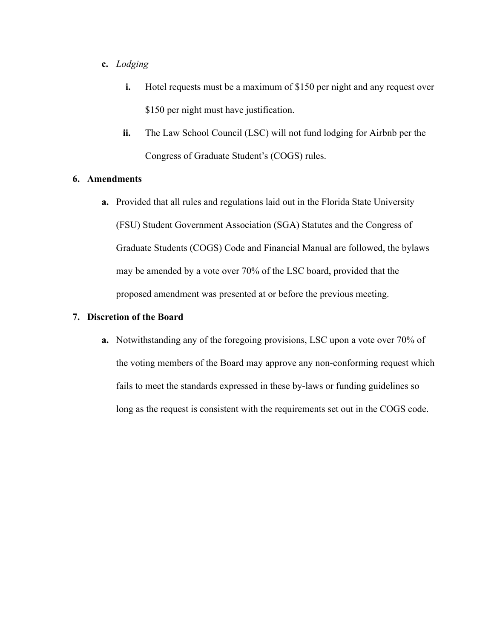#### **c.** *Lodging*

- **i.** Hotel requests must be a maximum of \$150 per night and any request over \$150 per night must have justification.
- **ii.** The Law School Council (LSC) will not fund lodging for Airbnb per the Congress of Graduate Student's (COGS) rules.

### **6. Amendments**

**a.** Provided that all rules and regulations laid out in the Florida State University (FSU) Student Government Association (SGA) Statutes and the Congress of Graduate Students (COGS) Code and Financial Manual are followed, the bylaws may be amended by a vote over 70% of the LSC board, provided that the proposed amendment was presented at or before the previous meeting.

### **7. Discretion of the Board**

**a.** Notwithstanding any of the foregoing provisions, LSC upon a vote over 70% of the voting members of the Board may approve any non-conforming request which fails to meet the standards expressed in these by-laws or funding guidelines so long as the request is consistent with the requirements set out in the COGS code.